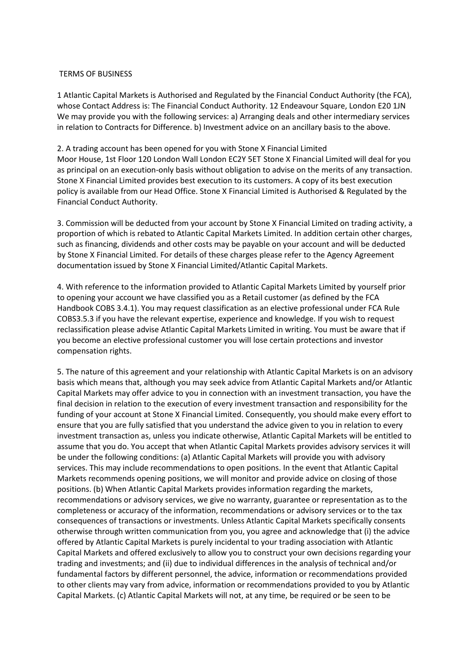## TERMS OF BUSINESS

1 Atlantic Capital Markets is Authorised and Regulated by the Financial Conduct Authority (the FCA), whose Contact Address is: The Financial Conduct Authority. 12 Endeavour Square, London E20 1JN We may provide you with the following services: a) Arranging deals and other intermediary services in relation to Contracts for Difference. b) Investment advice on an ancillary basis to the above.

2. A trading account has been opened for you with Stone X Financial Limited Moor House, 1st Floor 120 London Wall London EC2Y 5ET Stone X Financial Limited will deal for you as principal on an execution-only basis without obligation to advise on the merits of any transaction. Stone X Financial Limited provides best execution to its customers. A copy of its best execution policy is available from our Head Office. Stone X Financial Limited is Authorised & Regulated by the Financial Conduct Authority.

3. Commission will be deducted from your account by Stone X Financial Limited on trading activity, a proportion of which is rebated to Atlantic Capital Markets Limited. In addition certain other charges, such as financing, dividends and other costs may be payable on your account and will be deducted by Stone X Financial Limited. For details of these charges please refer to the Agency Agreement documentation issued by Stone X Financial Limited/Atlantic Capital Markets.

4. With reference to the information provided to Atlantic Capital Markets Limited by yourself prior to opening your account we have classified you as a Retail customer (as defined by the FCA Handbook COBS 3.4.1). You may request classification as an elective professional under FCA Rule COBS3.5.3 if you have the relevant expertise, experience and knowledge. If you wish to request reclassification please advise Atlantic Capital Markets Limited in writing. You must be aware that if you become an elective professional customer you will lose certain protections and investor compensation rights.

5. The nature of this agreement and your relationship with Atlantic Capital Markets is on an advisory basis which means that, although you may seek advice from Atlantic Capital Markets and/or Atlantic Capital Markets may offer advice to you in connection with an investment transaction, you have the final decision in relation to the execution of every investment transaction and responsibility for the funding of your account at Stone X Financial Limited. Consequently, you should make every effort to ensure that you are fully satisfied that you understand the advice given to you in relation to every investment transaction as, unless you indicate otherwise, Atlantic Capital Markets will be entitled to assume that you do. You accept that when Atlantic Capital Markets provides advisory services it will be under the following conditions: (a) Atlantic Capital Markets will provide you with advisory services. This may include recommendations to open positions. In the event that Atlantic Capital Markets recommends opening positions, we will monitor and provide advice on closing of those positions. (b) When Atlantic Capital Markets provides information regarding the markets, recommendations or advisory services, we give no warranty, guarantee or representation as to the completeness or accuracy of the information, recommendations or advisory services or to the tax consequences of transactions or investments. Unless Atlantic Capital Markets specifically consents otherwise through written communication from you, you agree and acknowledge that (i) the advice offered by Atlantic Capital Markets is purely incidental to your trading association with Atlantic Capital Markets and offered exclusively to allow you to construct your own decisions regarding your trading and investments; and (ii) due to individual differences in the analysis of technical and/or fundamental factors by different personnel, the advice, information or recommendations provided to other clients may vary from advice, information or recommendations provided to you by Atlantic Capital Markets. (c) Atlantic Capital Markets will not, at any time, be required or be seen to be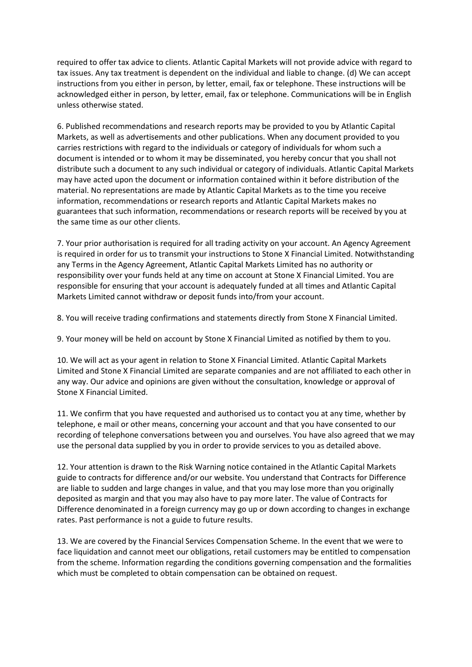required to offer tax advice to clients. Atlantic Capital Markets will not provide advice with regard to tax issues. Any tax treatment is dependent on the individual and liable to change. (d) We can accept instructions from you either in person, by letter, email, fax or telephone. These instructions will be acknowledged either in person, by letter, email, fax or telephone. Communications will be in English unless otherwise stated.

6. Published recommendations and research reports may be provided to you by Atlantic Capital Markets, as well as advertisements and other publications. When any document provided to you carries restrictions with regard to the individuals or category of individuals for whom such a document is intended or to whom it may be disseminated, you hereby concur that you shall not distribute such a document to any such individual or category of individuals. Atlantic Capital Markets may have acted upon the document or information contained within it before distribution of the material. No representations are made by Atlantic Capital Markets as to the time you receive information, recommendations or research reports and Atlantic Capital Markets makes no guarantees that such information, recommendations or research reports will be received by you at the same time as our other clients.

7. Your prior authorisation is required for all trading activity on your account. An Agency Agreement is required in order for us to transmit your instructions to Stone X Financial Limited. Notwithstanding any Terms in the Agency Agreement, Atlantic Capital Markets Limited has no authority or responsibility over your funds held at any time on account at Stone X Financial Limited. You are responsible for ensuring that your account is adequately funded at all times and Atlantic Capital Markets Limited cannot withdraw or deposit funds into/from your account.

8. You will receive trading confirmations and statements directly from Stone X Financial Limited.

9. Your money will be held on account by Stone X Financial Limited as notified by them to you.

10. We will act as your agent in relation to Stone X Financial Limited. Atlantic Capital Markets Limited and Stone X Financial Limited are separate companies and are not affiliated to each other in any way. Our advice and opinions are given without the consultation, knowledge or approval of Stone X Financial Limited.

11. We confirm that you have requested and authorised us to contact you at any time, whether by telephone, e mail or other means, concerning your account and that you have consented to our recording of telephone conversations between you and ourselves. You have also agreed that we may use the personal data supplied by you in order to provide services to you as detailed above.

12. Your attention is drawn to the Risk Warning notice contained in the Atlantic Capital Markets guide to contracts for difference and/or our website. You understand that Contracts for Difference are liable to sudden and large changes in value, and that you may lose more than you originally deposited as margin and that you may also have to pay more later. The value of Contracts for Difference denominated in a foreign currency may go up or down according to changes in exchange rates. Past performance is not a guide to future results.

13. We are covered by the Financial Services Compensation Scheme. In the event that we were to face liquidation and cannot meet our obligations, retail customers may be entitled to compensation from the scheme. Information regarding the conditions governing compensation and the formalities which must be completed to obtain compensation can be obtained on request.